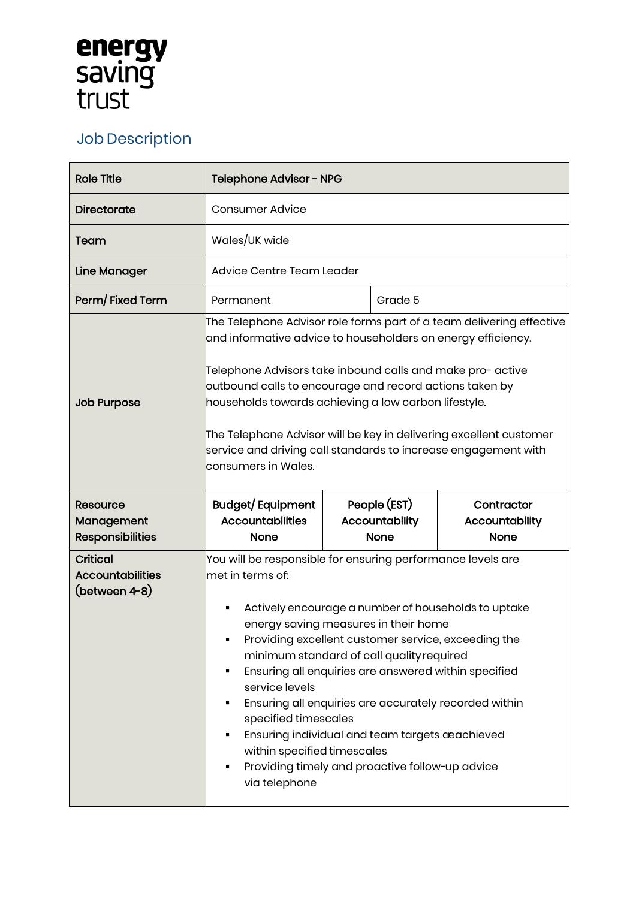## **energy<br>saving<br>trust**

## Job Description

| <b>Role Title</b>                                           | Telephone Advisor - NPG                                                                                                                                                                                                                                                                                                                                                                                                                                                                                                                                                                             |                                               |                                             |
|-------------------------------------------------------------|-----------------------------------------------------------------------------------------------------------------------------------------------------------------------------------------------------------------------------------------------------------------------------------------------------------------------------------------------------------------------------------------------------------------------------------------------------------------------------------------------------------------------------------------------------------------------------------------------------|-----------------------------------------------|---------------------------------------------|
| Directorate                                                 | <b>Consumer Advice</b>                                                                                                                                                                                                                                                                                                                                                                                                                                                                                                                                                                              |                                               |                                             |
| Team                                                        | Wales/UK wide                                                                                                                                                                                                                                                                                                                                                                                                                                                                                                                                                                                       |                                               |                                             |
| <b>Line Manager</b>                                         | Advice Centre Team Leader                                                                                                                                                                                                                                                                                                                                                                                                                                                                                                                                                                           |                                               |                                             |
| Perm/Fixed Term                                             | Permanent                                                                                                                                                                                                                                                                                                                                                                                                                                                                                                                                                                                           | Grade 5                                       |                                             |
| <b>Job Purpose</b>                                          | The Telephone Advisor role forms part of a team delivering effective $\overline{\phantom{a}}$<br>and informative advice to householders on energy efficiency.<br>Telephone Advisors take inbound calls and make pro- active<br>outbound calls to encourage and record actions taken by<br>households towards achieving a low carbon lifestyle.<br>The Telephone Advisor will be key in delivering excellent customer<br>service and driving call standards to increase engagement with<br>consumers in Wales.                                                                                       |                                               |                                             |
| <b>Resource</b><br>Management<br><b>Responsibilities</b>    | Budget/Equipment<br><b>Accountabilities</b><br>None                                                                                                                                                                                                                                                                                                                                                                                                                                                                                                                                                 | People (EST)<br>Accountability<br><b>None</b> | Contractor<br>Accountability<br><b>None</b> |
| <b>Critical</b><br><b>Accountabilities</b><br>(between 4-8) | You will be responsible for ensuring performance levels are<br>met in terms of:<br>Actively encourage a number of households to uptake<br>energy saving measures in their home<br>Providing excellent customer service, exceeding the<br>minimum standard of call quality required<br>Ensuring all enquiries are answered within specified<br>service levels<br>Ensuring all enquiries are accurately recorded within<br>specified timescales<br>Ensuring individual and team targets aeachieved<br>within specified timescales<br>Providing timely and proactive follow-up advice<br>via telephone |                                               |                                             |